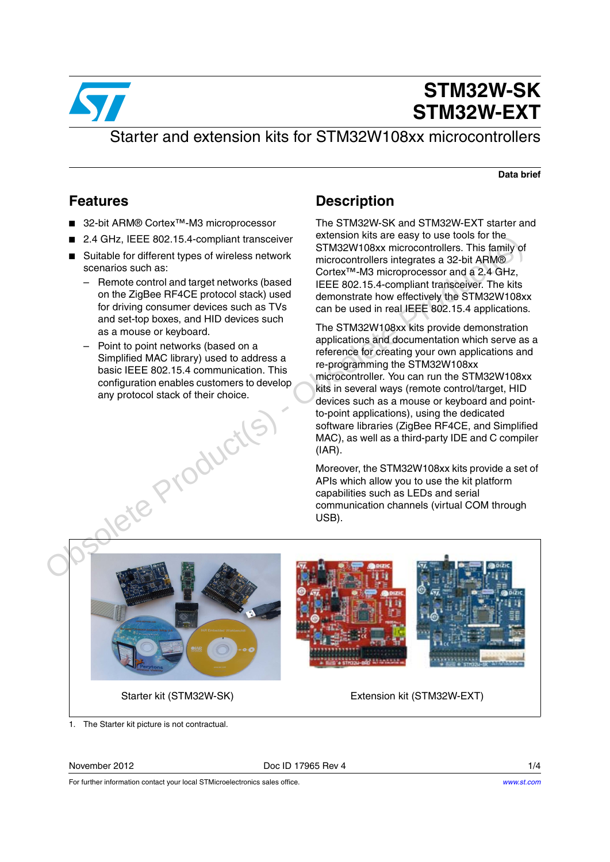

# **STM32W-SK STM32W-EXT**

### Starter and extension kits for STM32W108xx microcontrollers

**Data brief**

### <span id="page-0-0"></span>**Features**

- 32-bit ARM® Cortex<sup>™</sup>-M3 microprocessor
- 2.4 GHz, IEEE 802.15.4-compliant transceiver
- Suitable for different types of wireless network scenarios such as:
	- Remote control and target networks (based on the ZigBee RF4CE protocol stack) used for driving consumer devices such as TVs and set-top boxes, and HID devices such as a mouse or keyboard.
	- Point to point networks (based on a Simplified MAC library) used to address a basic IEEE 802.15.4 communication. This configuration enables customers to develop any protocol stack of their choice.

### **Description**

The STM32W-SK and STM32W-EXT starter and extension kits are easy to use tools for the STM32W108xx microcontrollers. This family of microcontrollers integrates a 32-bit ARM® Cortex™-M3 microprocessor and a 2.4 GHz, IEEE 802.15.4-compliant transceiver. The kits demonstrate how effectively the STM32W108xx can be used in real IEEE 802.15.4 applications.

The STM32W108xx kits provide demonstration applications and documentation which serve as a reference for creating your own applications and re-programming the STM32W108xx microcontroller. You can run the STM32W108xx kits in several ways (remote control/target, HID devices such as a mouse or keyboard and pointto-point applications), using the dedicated software libraries (ZigBee RF4CE, and Simplified MAC), as well as a third-party IDE and C compiler (IAR).

Moreover, the STM32W108xx kits provide a set of APIs which allow you to use the kit platform capabilities such as LEDs and serial communication channels (virtual COM through USB).



1. The Starter kit picture is not contractual.

November 2012 **Doce ID 17965 Rev 4** 1/4



Starter kit (STM32W-SK) Extension kit (STM32W-EXT)

For further information contact your local STMicroelectronics sales office.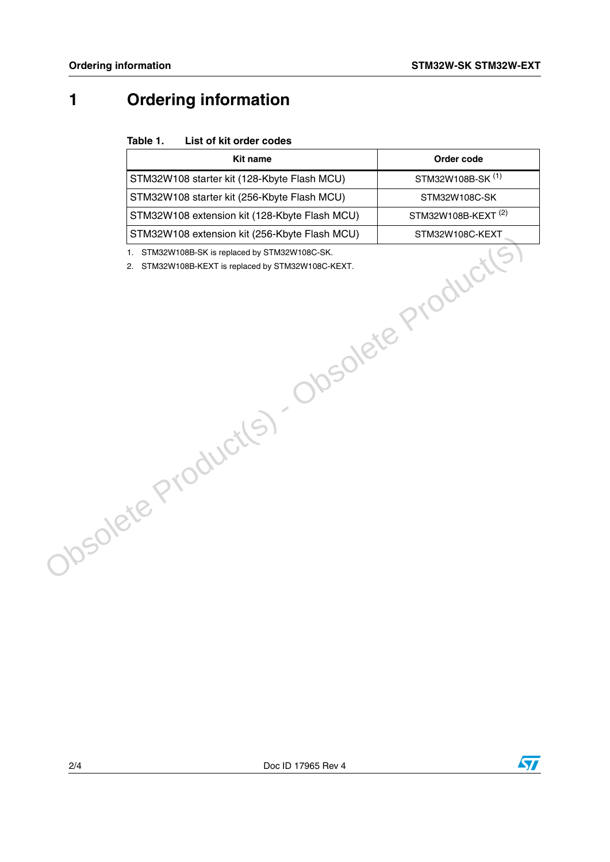## <span id="page-1-1"></span>**1 Ordering information**

### <span id="page-1-0"></span>Table 1. **List of kit order codes**

| <b>Kit name</b>                               | Order code                     |
|-----------------------------------------------|--------------------------------|
| STM32W108 starter kit (128-Kbyte Flash MCU)   | STM32W108B-SK <sup>(1)</sup>   |
| STM32W108 starter kit (256-Kbyte Flash MCU)   | STM32W108C-SK                  |
| STM32W108 extension kit (128-Kbyte Flash MCU) | STM32W108B-KEXT <sup>(2)</sup> |
| STM32W108 extension kit (256-Kbyte Flash MCU) | STM32W108C-KEXT                |
| Obsolete Product(s) Obsolete Product(         |                                |
|                                               |                                |

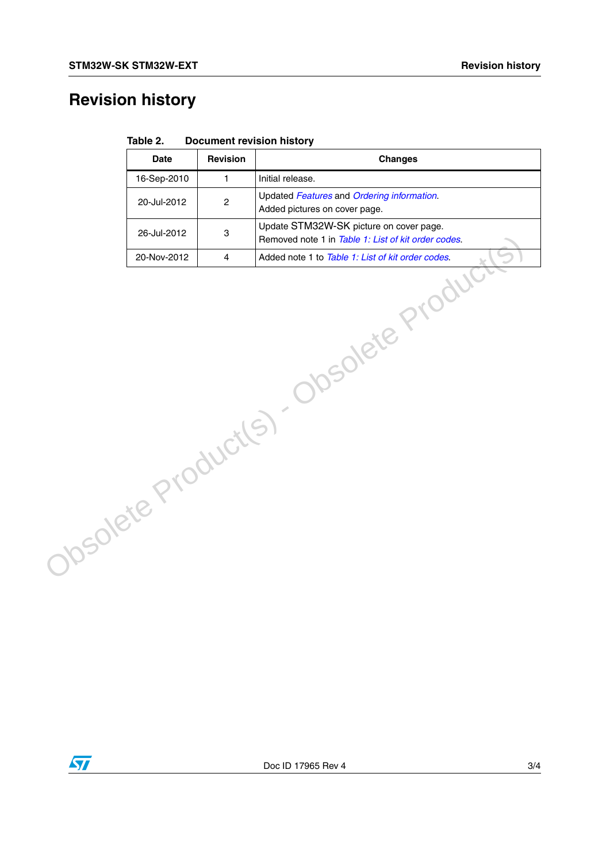## **Revision history**

|                                         | <b>Date</b> | Revision         | <b>Changes</b>                                                                                 |
|-----------------------------------------|-------------|------------------|------------------------------------------------------------------------------------------------|
|                                         | 16-Sep-2010 | $\mathbf{1}$     | Initial release.                                                                               |
|                                         | 20-Jul-2012 | $\boldsymbol{2}$ | Updated Features and Ordering information.<br>Added pictures on cover page.                    |
|                                         | 26-Jul-2012 | $\,$ 3 $\,$      | Update STM32W-SK picture on cover page.<br>Removed note 1 in Table 1: List of kit order codes. |
|                                         | 20-Nov-2012 | $\overline{4}$   | Added note 1 to Table 1: List of kit order codes.                                              |
| Obsolete Product<br>Obsolete Product(S) |             |                  |                                                                                                |

| Table 2. | <b>Document revision history</b> |
|----------|----------------------------------|
|----------|----------------------------------|